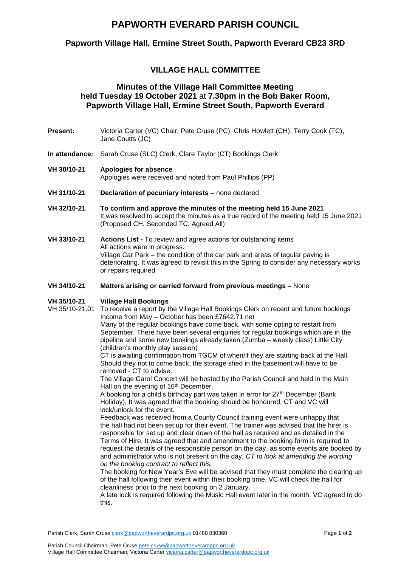## **PAPWORTH EVERARD PARISH COUNCIL**

## **Papworth Village Hall, Ermine Street South, Papworth Everard CB23 3RD**

## **VILLAGE HALL COMMITTEE**

### **Minutes of the Village Hall Committee Meeting held Tuesday 19 October 2021** at **7.30pm in the Bob Baker Room, Papworth Village Hall, Ermine Street South, Papworth Everard**

- **Present:** Victoria Carter (VC) Chair, Pete Cruse (PC), Chris Howlett (CH), Terry Cook (TC), Jane Coutts (JC)
- **In attendance:** Sarah Cruse (SLC) Clerk, Clare Taylor (CT) Bookings Clerk

#### **VH 30/10-21 Apologies for absence**

Apologies were received and noted from Paul Phillips (PP)

- **VH 31/10-21 Declaration of pecuniary interests –** none declared
- **VH 32/10-21 To confirm and approve the minutes of the meeting held 15 June 2021** It was resolved to accept the minutes as a true record of the meeting held 15 June 2021 (Proposed CH, Seconded TC, Agreed All)
- **VH 33/10-21 Actions List -** To review and agree actions for outstanding items All actions were in progress. Village Car Park – the condition of the car park and areas of tegular paving is deteriorating. It was agreed to revisit this in the Spring to consider any necessary works or repairs required

#### **VH 34/10-21 Matters arising or carried forward from previous meetings –** None

#### **VH 35/10-21 Village Hall Bookings**

VH 35/10-21.01 To receive a report by the Village Hall Bookings Clerk on recent and future bookings Income from May – October has been £7642.71 net

Many of the regular bookings have come back, with some opting to restart from September. There have been several enquiries for regular bookings which are in the pipeline and some new bookings already taken (Zumba – weekly class) Little City (children's monthly play session)

CT is awaiting confirmation from TGCM of when/if they are starting back at the Hall. Should they not to come back, the storage shed in the basement will have to be removed - CT to advise.

The Village Carol Concert will be hosted by the Parish Council and held in the Main Hall on the evening of 16<sup>th</sup> December.

A booking for a child's birthday part was taken in error for  $27<sup>th</sup>$  December (Bank Holiday), It was agreed that the booking should be honoured. CT and VC will lock/unlock for the event.

Feedback was received from a County Council training event were unhappy that the hall had not been set up for their event. The trainer was advised that the hirer is responsible for set up and clear down of the hall as required and as detailed in the Terms of Hire. It was agreed that and amendment to the booking form is required to request the details of the responsible person on the day, as some events are booked by and administrator who is not present on the day. *CT to look at amending the wording on the booking contract to reflect this.*

The booking for New Year's Eve will be advised that they must complete the clearing up of the hall following their event within their booking time. VC will check the hall for cleanliness prior to the next booking on 2 January.

A late lock is required following the Music Hall event later in the month. VC agreed to do this.